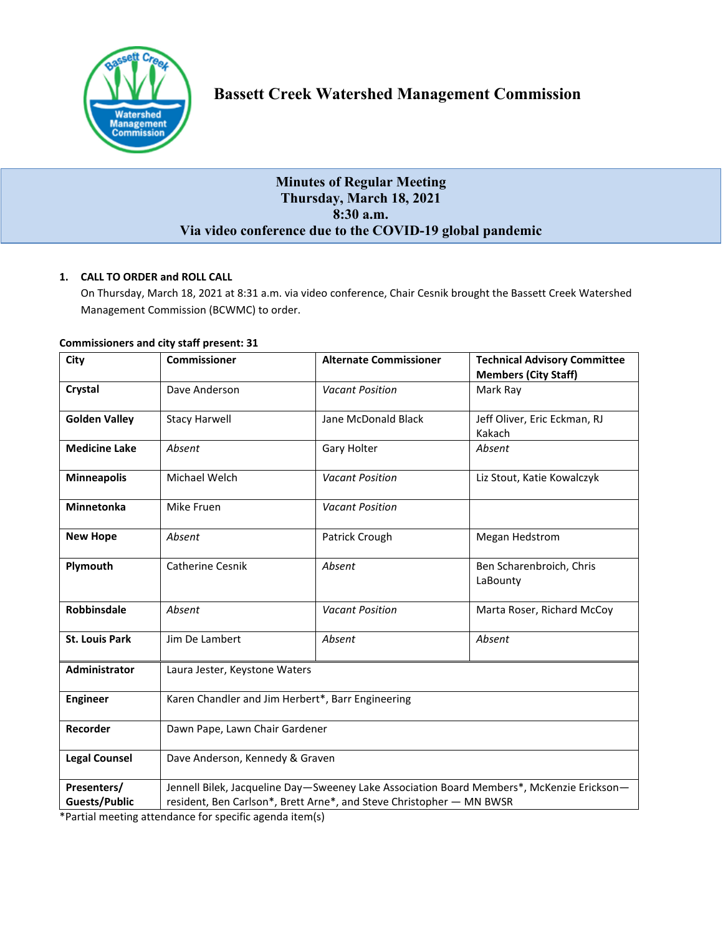

# **Minutes of Regular Meeting Thursday, March 18, 2021 8:30 a.m. Via video conference due to the COVID-19 global pandemic**

## **1. CALL TO ORDER and ROLL CALL**

On Thursday, March 18, 2021 at 8:31 a.m. via video conference, Chair Cesnik brought the Bassett Creek Watershed Management Commission (BCWMC) to order.

| City                                | <b>Commissioner</b>                                                                                                                                               | <b>Alternate Commissioner</b> | <b>Technical Advisory Committee</b><br><b>Members (City Staff)</b> |
|-------------------------------------|-------------------------------------------------------------------------------------------------------------------------------------------------------------------|-------------------------------|--------------------------------------------------------------------|
| Crystal                             | Dave Anderson                                                                                                                                                     | <b>Vacant Position</b>        | Mark Ray                                                           |
| <b>Golden Valley</b>                | <b>Stacy Harwell</b>                                                                                                                                              | Jane McDonald Black           | Jeff Oliver, Eric Eckman, RJ<br>Kakach                             |
| <b>Medicine Lake</b>                | Absent                                                                                                                                                            | Gary Holter                   | Absent                                                             |
| <b>Minneapolis</b>                  | Michael Welch                                                                                                                                                     | <b>Vacant Position</b>        | Liz Stout, Katie Kowalczyk                                         |
| <b>Minnetonka</b>                   | Mike Fruen                                                                                                                                                        | <b>Vacant Position</b>        |                                                                    |
| <b>New Hope</b>                     | Absent                                                                                                                                                            | Patrick Crough                | Megan Hedstrom                                                     |
| Plymouth                            | Catherine Cesnik                                                                                                                                                  | Absent                        | Ben Scharenbroich, Chris<br>LaBounty                               |
| Robbinsdale                         | Absent                                                                                                                                                            | <b>Vacant Position</b>        | Marta Roser, Richard McCoy                                         |
| <b>St. Louis Park</b>               | Jim De Lambert                                                                                                                                                    | Absent                        | Absent                                                             |
| Administrator                       | Laura Jester, Keystone Waters                                                                                                                                     |                               |                                                                    |
| <b>Engineer</b>                     | Karen Chandler and Jim Herbert*, Barr Engineering                                                                                                                 |                               |                                                                    |
| Recorder                            | Dawn Pape, Lawn Chair Gardener                                                                                                                                    |                               |                                                                    |
| <b>Legal Counsel</b>                | Dave Anderson, Kennedy & Graven                                                                                                                                   |                               |                                                                    |
| Presenters/<br><b>Guests/Public</b> | Jennell Bilek, Jacqueline Day-Sweeney Lake Association Board Members*, McKenzie Erickson-<br>resident, Ben Carlson*, Brett Arne*, and Steve Christopher - MN BWSR |                               |                                                                    |

## **Commissioners and city staff present: 31**

\*Partial meeting attendance for specific agenda item(s)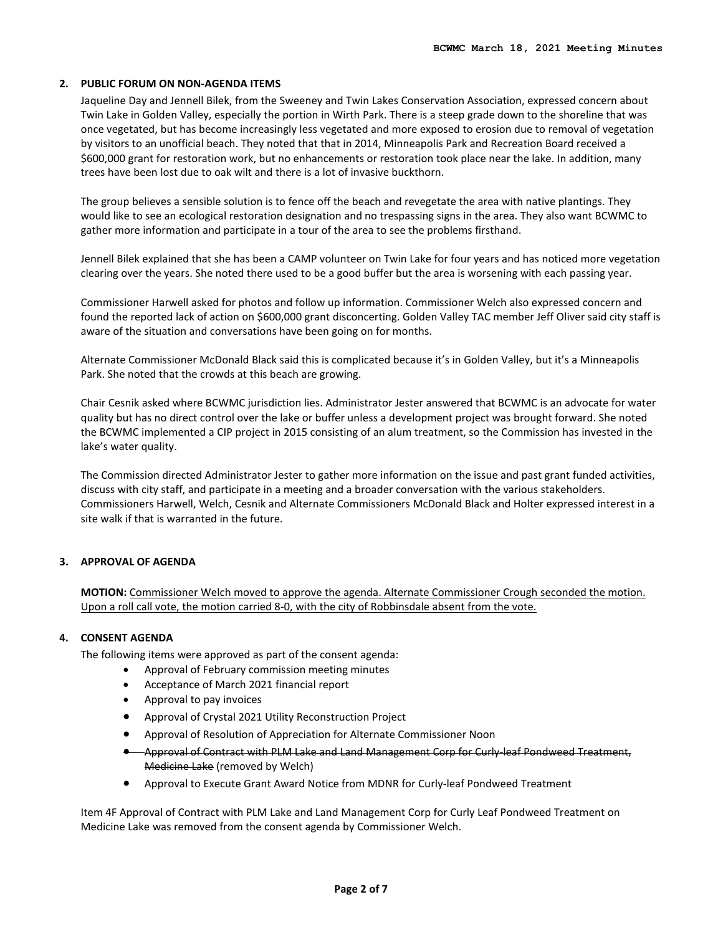#### **2. PUBLIC FORUM ON NON-AGENDA ITEMS**

Jaqueline Day and Jennell Bilek, from the Sweeney and Twin Lakes Conservation Association, expressed concern about Twin Lake in Golden Valley, especially the portion in Wirth Park. There is a steep grade down to the shoreline that was once vegetated, but has become increasingly less vegetated and more exposed to erosion due to removal of vegetation by visitors to an unofficial beach. They noted that that in 2014, Minneapolis Park and Recreation Board received a \$600,000 grant for restoration work, but no enhancements or restoration took place near the lake. In addition, many trees have been lost due to oak wilt and there is a lot of invasive buckthorn.

The group believes a sensible solution is to fence off the beach and revegetate the area with native plantings. They would like to see an ecological restoration designation and no trespassing signs in the area. They also want BCWMC to gather more information and participate in a tour of the area to see the problems firsthand.

Jennell Bilek explained that she has been a CAMP volunteer on Twin Lake for four years and has noticed more vegetation clearing over the years. She noted there used to be a good buffer but the area is worsening with each passing year.

Commissioner Harwell asked for photos and follow up information. Commissioner Welch also expressed concern and found the reported lack of action on \$600,000 grant disconcerting. Golden Valley TAC member Jeff Oliver said city staff is aware of the situation and conversations have been going on for months.

Alternate Commissioner McDonald Black said this is complicated because it's in Golden Valley, but it's a Minneapolis Park. She noted that the crowds at this beach are growing.

Chair Cesnik asked where BCWMC jurisdiction lies. Administrator Jester answered that BCWMC is an advocate for water quality but has no direct control over the lake or buffer unless a development project was brought forward. She noted the BCWMC implemented a CIP project in 2015 consisting of an alum treatment, so the Commission has invested in the lake's water quality.

The Commission directed Administrator Jester to gather more information on the issue and past grant funded activities, discuss with city staff, and participate in a meeting and a broader conversation with the various stakeholders. Commissioners Harwell, Welch, Cesnik and Alternate Commissioners McDonald Black and Holter expressed interest in a site walk if that is warranted in the future.

#### **3. APPROVAL OF AGENDA**

**MOTION:** Commissioner Welch moved to approve the agenda. Alternate Commissioner Crough seconded the motion. Upon a roll call vote, the motion carried 8-0, with the city of Robbinsdale absent from the vote.

#### **4. CONSENT AGENDA**

The following items were approved as part of the consent agenda:

- Approval of February commission meeting minutes
- Acceptance of March 2021 financial report
- Approval to pay invoices
- Approval of Crystal 2021 Utility Reconstruction Project
- Approval of Resolution of Appreciation for Alternate Commissioner Noon
- Approval of Contract with PLM Lake and Land Management Corp for Curly-leaf Pondweed Treatment, Medicine Lake (removed by Welch)
- Approval to Execute Grant Award Notice from MDNR for Curly-leaf Pondweed Treatment

Item 4F Approval of Contract with PLM Lake and Land Management Corp for Curly Leaf Pondweed Treatment on Medicine Lake was removed from the consent agenda by Commissioner Welch.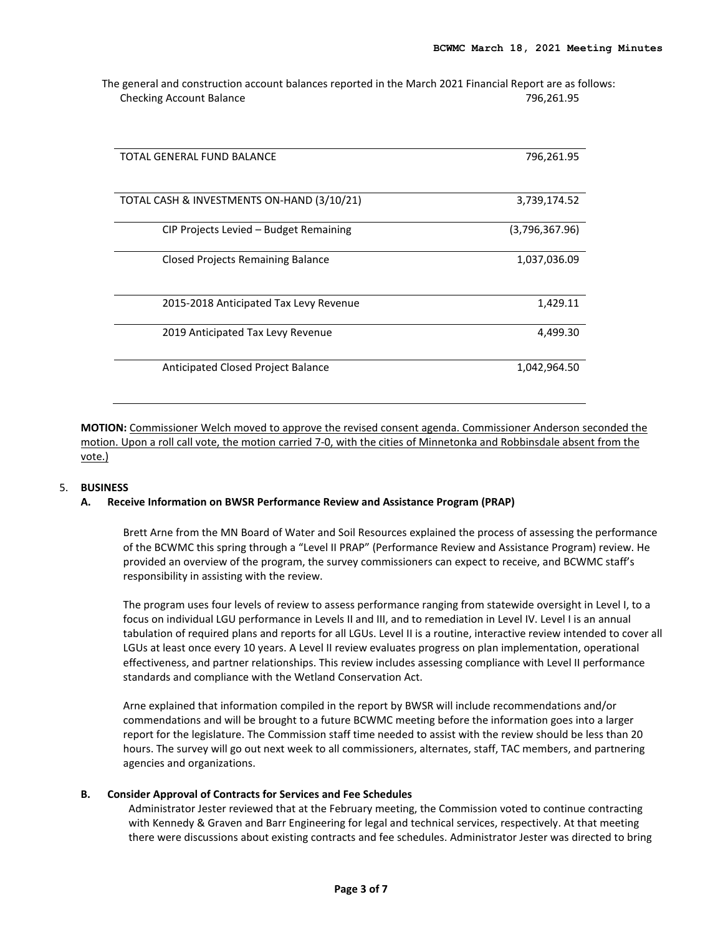The general and construction account balances reported in the March 2021 Financial Report are as follows: Checking Account Balance **796,261.95** and the Checking Account Balance

| TOTAL GENERAL FUND BALANCE                 | 796,261.95     |
|--------------------------------------------|----------------|
| TOTAL CASH & INVESTMENTS ON-HAND (3/10/21) | 3,739,174.52   |
| CIP Projects Levied - Budget Remaining     | (3,796,367.96) |
| <b>Closed Projects Remaining Balance</b>   | 1,037,036.09   |
| 2015-2018 Anticipated Tax Levy Revenue     | 1,429.11       |
| 2019 Anticipated Tax Levy Revenue          | 4,499.30       |
| Anticipated Closed Project Balance         | 1,042,964.50   |

**MOTION:** Commissioner Welch moved to approve the revised consent agenda. Commissioner Anderson seconded the motion. Upon a roll call vote, the motion carried 7-0, with the cities of Minnetonka and Robbinsdale absent from the vote.)

#### 5. **BUSINESS**

#### **A. Receive Information on BWSR Performance Review and Assistance Program (PRAP)**

Brett Arne from the MN Board of Water and Soil Resources explained the process of assessing the performance of the BCWMC this spring through a "Level II PRAP" (Performance Review and Assistance Program) review. He provided an overview of the program, the survey commissioners can expect to receive, and BCWMC staff's responsibility in assisting with the review.

The program uses four levels of review to assess performance ranging from statewide oversight in Level I, to a focus on individual LGU performance in Levels II and III, and to remediation in Level IV. Level I is an annual tabulation of required plans and reports for all LGUs. Level II is a routine, interactive review intended to cover all LGUs at least once every 10 years. A Level II review evaluates progress on plan implementation, operational effectiveness, and partner relationships. This review includes assessing compliance with Level II performance standards and compliance with the Wetland Conservation Act.

Arne explained that information compiled in the report by BWSR will include recommendations and/or commendations and will be brought to a future BCWMC meeting before the information goes into a larger report for the legislature. The Commission staff time needed to assist with the review should be less than 20 hours. The survey will go out next week to all commissioners, alternates, staff, TAC members, and partnering agencies and organizations.

#### **B. Consider Approval of Contracts for Services and Fee Schedules**

Administrator Jester reviewed that at the February meeting, the Commission voted to continue contracting with Kennedy & Graven and Barr Engineering for legal and technical services, respectively. At that meeting there were discussions about existing contracts and fee schedules. Administrator Jester was directed to bring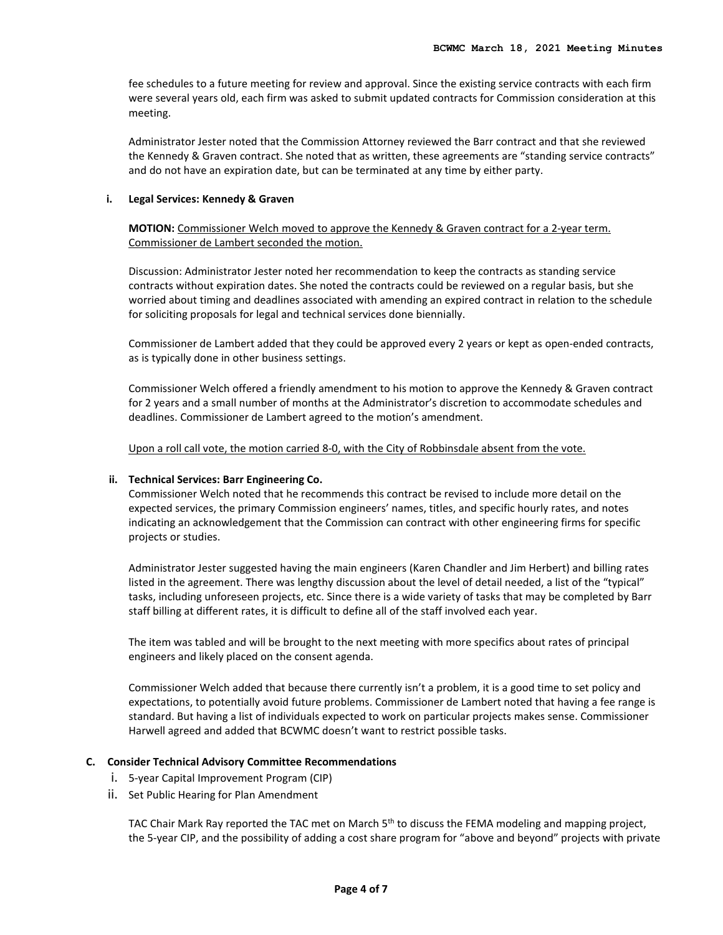fee schedules to a future meeting for review and approval. Since the existing service contracts with each firm were several years old, each firm was asked to submit updated contracts for Commission consideration at this meeting.

Administrator Jester noted that the Commission Attorney reviewed the Barr contract and that she reviewed the Kennedy & Graven contract. She noted that as written, these agreements are "standing service contracts" and do not have an expiration date, but can be terminated at any time by either party.

#### **i. Legal Services: Kennedy & Graven**

**MOTION:** Commissioner Welch moved to approve the Kennedy & Graven contract for a 2-year term. Commissioner de Lambert seconded the motion.

Discussion: Administrator Jester noted her recommendation to keep the contracts as standing service contracts without expiration dates. She noted the contracts could be reviewed on a regular basis, but she worried about timing and deadlines associated with amending an expired contract in relation to the schedule for soliciting proposals for legal and technical services done biennially.

Commissioner de Lambert added that they could be approved every 2 years or kept as open-ended contracts, as is typically done in other business settings.

Commissioner Welch offered a friendly amendment to his motion to approve the Kennedy & Graven contract for 2 years and a small number of months at the Administrator's discretion to accommodate schedules and deadlines. Commissioner de Lambert agreed to the motion's amendment.

Upon a roll call vote, the motion carried 8-0, with the City of Robbinsdale absent from the vote.

#### **ii. Technical Services: Barr Engineering Co.**

Commissioner Welch noted that he recommends this contract be revised to include more detail on the expected services, the primary Commission engineers' names, titles, and specific hourly rates, and notes indicating an acknowledgement that the Commission can contract with other engineering firms for specific projects or studies.

Administrator Jester suggested having the main engineers (Karen Chandler and Jim Herbert) and billing rates listed in the agreement. There was lengthy discussion about the level of detail needed, a list of the "typical" tasks, including unforeseen projects, etc. Since there is a wide variety of tasks that may be completed by Barr staff billing at different rates, it is difficult to define all of the staff involved each year.

The item was tabled and will be brought to the next meeting with more specifics about rates of principal engineers and likely placed on the consent agenda.

Commissioner Welch added that because there currently isn't a problem, it is a good time to set policy and expectations, to potentially avoid future problems. Commissioner de Lambert noted that having a fee range is standard. But having a list of individuals expected to work on particular projects makes sense. Commissioner Harwell agreed and added that BCWMC doesn't want to restrict possible tasks.

#### **C. Consider Technical Advisory Committee Recommendations**

- i. 5-year Capital Improvement Program (CIP)
- ii. Set Public Hearing for Plan Amendment

TAC Chair Mark Ray reported the TAC met on March 5<sup>th</sup> to discuss the FEMA modeling and mapping project, the 5-year CIP, and the possibility of adding a cost share program for "above and beyond" projects with private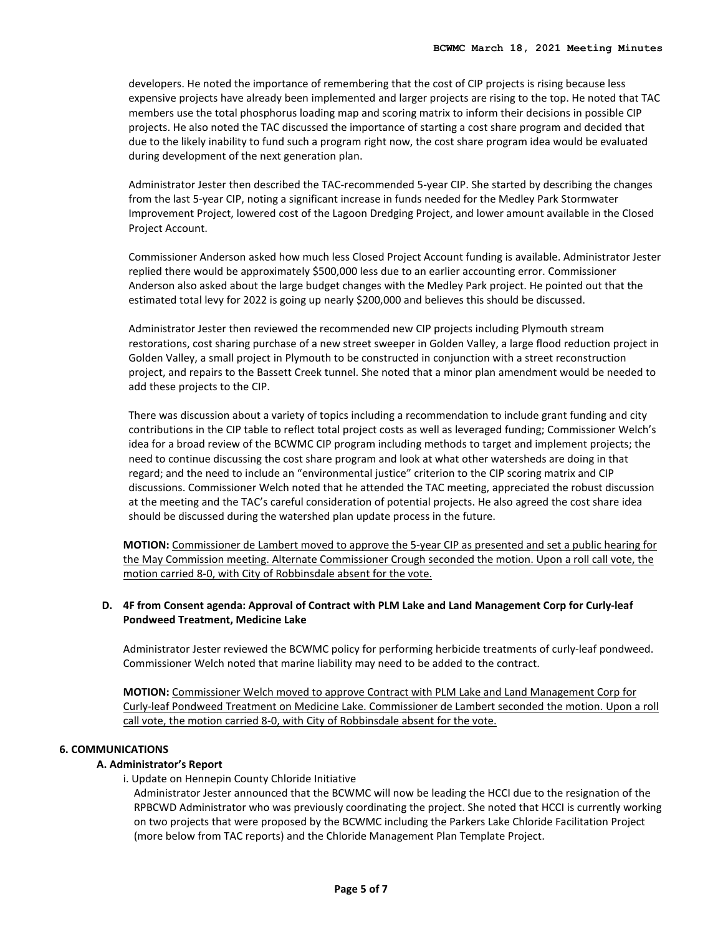developers. He noted the importance of remembering that the cost of CIP projects is rising because less expensive projects have already been implemented and larger projects are rising to the top. He noted that TAC members use the total phosphorus loading map and scoring matrix to inform their decisions in possible CIP projects. He also noted the TAC discussed the importance of starting a cost share program and decided that due to the likely inability to fund such a program right now, the cost share program idea would be evaluated during development of the next generation plan.

Administrator Jester then described the TAC-recommended 5-year CIP. She started by describing the changes from the last 5-year CIP, noting a significant increase in funds needed for the Medley Park Stormwater Improvement Project, lowered cost of the Lagoon Dredging Project, and lower amount available in the Closed Project Account.

Commissioner Anderson asked how much less Closed Project Account funding is available. Administrator Jester replied there would be approximately \$500,000 less due to an earlier accounting error. Commissioner Anderson also asked about the large budget changes with the Medley Park project. He pointed out that the estimated total levy for 2022 is going up nearly \$200,000 and believes this should be discussed.

Administrator Jester then reviewed the recommended new CIP projects including Plymouth stream restorations, cost sharing purchase of a new street sweeper in Golden Valley, a large flood reduction project in Golden Valley, a small project in Plymouth to be constructed in conjunction with a street reconstruction project, and repairs to the Bassett Creek tunnel. She noted that a minor plan amendment would be needed to add these projects to the CIP.

There was discussion about a variety of topics including a recommendation to include grant funding and city contributions in the CIP table to reflect total project costs as well as leveraged funding; Commissioner Welch's idea for a broad review of the BCWMC CIP program including methods to target and implement projects; the need to continue discussing the cost share program and look at what other watersheds are doing in that regard; and the need to include an "environmental justice" criterion to the CIP scoring matrix and CIP discussions. Commissioner Welch noted that he attended the TAC meeting, appreciated the robust discussion at the meeting and the TAC's careful consideration of potential projects. He also agreed the cost share idea should be discussed during the watershed plan update process in the future.

**MOTION:** Commissioner de Lambert moved to approve the 5-year CIP as presented and set a public hearing for the May Commission meeting. Alternate Commissioner Crough seconded the motion. Upon a roll call vote, the motion carried 8-0, with City of Robbinsdale absent for the vote.

## **D. 4F from Consent agenda: Approval of Contract with PLM Lake and Land Management Corp for Curly-leaf Pondweed Treatment, Medicine Lake**

Administrator Jester reviewed the BCWMC policy for performing herbicide treatments of curly-leaf pondweed. Commissioner Welch noted that marine liability may need to be added to the contract.

**MOTION:** Commissioner Welch moved to approve Contract with PLM Lake and Land Management Corp for Curly-leaf Pondweed Treatment on Medicine Lake. Commissioner de Lambert seconded the motion. Upon a roll call vote, the motion carried 8-0, with City of Robbinsdale absent for the vote.

#### **6. COMMUNICATIONS**

#### **A. Administrator's Report**

i. Update on Hennepin County Chloride Initiative

Administrator Jester announced that the BCWMC will now be leading the HCCI due to the resignation of the RPBCWD Administrator who was previously coordinating the project. She noted that HCCI is currently working on two projects that were proposed by the BCWMC including the Parkers Lake Chloride Facilitation Project (more below from TAC reports) and the Chloride Management Plan Template Project.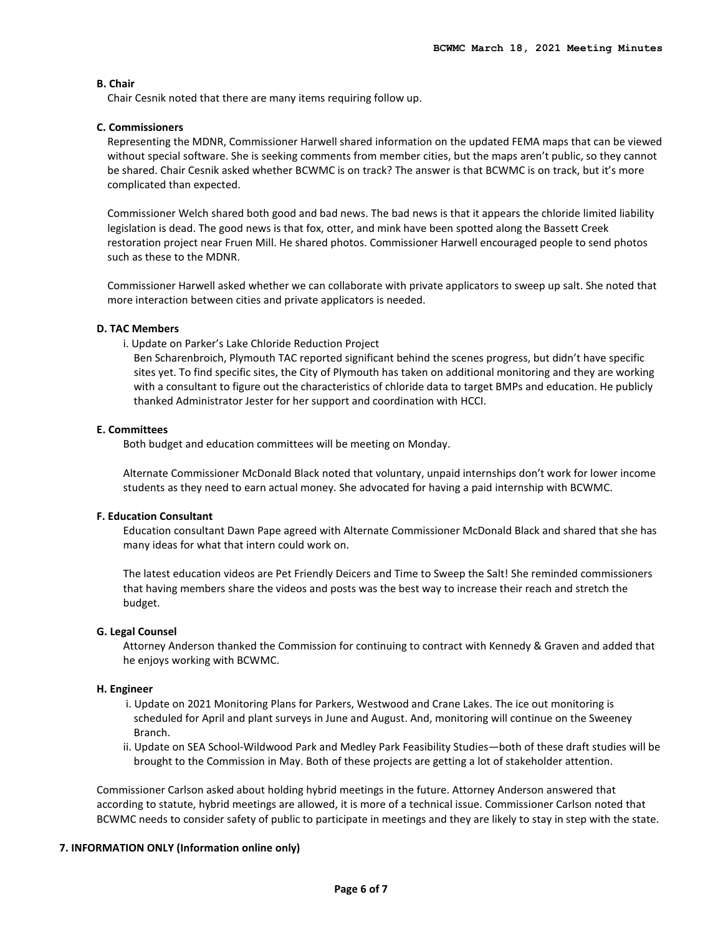## **B. Chair**

Chair Cesnik noted that there are many items requiring follow up.

## **C. Commissioners**

Representing the MDNR, Commissioner Harwell shared information on the updated FEMA maps that can be viewed without special software. She is seeking comments from member cities, but the maps aren't public, so they cannot be shared. Chair Cesnik asked whether BCWMC is on track? The answer is that BCWMC is on track, but it's more complicated than expected.

Commissioner Welch shared both good and bad news. The bad news is that it appears the chloride limited liability legislation is dead. The good news is that fox, otter, and mink have been spotted along the Bassett Creek restoration project near Fruen Mill. He shared photos. Commissioner Harwell encouraged people to send photos such as these to the MDNR.

Commissioner Harwell asked whether we can collaborate with private applicators to sweep up salt. She noted that more interaction between cities and private applicators is needed.

## **D. TAC Members**

i. Update on Parker's Lake Chloride Reduction Project

Ben Scharenbroich, Plymouth TAC reported significant behind the scenes progress, but didn't have specific sites yet. To find specific sites, the City of Plymouth has taken on additional monitoring and they are working with a consultant to figure out the characteristics of chloride data to target BMPs and education. He publicly thanked Administrator Jester for her support and coordination with HCCI.

## **E. Committees**

Both budget and education committees will be meeting on Monday.

Alternate Commissioner McDonald Black noted that voluntary, unpaid internships don't work for lower income students as they need to earn actual money. She advocated for having a paid internship with BCWMC.

## **F. Education Consultant**

Education consultant Dawn Pape agreed with Alternate Commissioner McDonald Black and shared that she has many ideas for what that intern could work on.

The latest education videos are Pet Friendly Deicers and Time to Sweep the Salt! She reminded commissioners that having members share the videos and posts was the best way to increase their reach and stretch the budget.

#### **G. Legal Counsel**

Attorney Anderson thanked the Commission for continuing to contract with Kennedy & Graven and added that he enjoys working with BCWMC.

#### **H. Engineer**

- i. Update on 2021 Monitoring Plans for Parkers, Westwood and Crane Lakes. The ice out monitoring is scheduled for April and plant surveys in June and August. And, monitoring will continue on the Sweeney Branch.
- ii. Update on SEA School-Wildwood Park and Medley Park Feasibility Studies—both of these draft studies will be brought to the Commission in May. Both of these projects are getting a lot of stakeholder attention.

Commissioner Carlson asked about holding hybrid meetings in the future. Attorney Anderson answered that according to statute, hybrid meetings are allowed, it is more of a technical issue. Commissioner Carlson noted that BCWMC needs to consider safety of public to participate in meetings and they are likely to stay in step with the state.

## **7. INFORMATION ONLY (Information online only)**